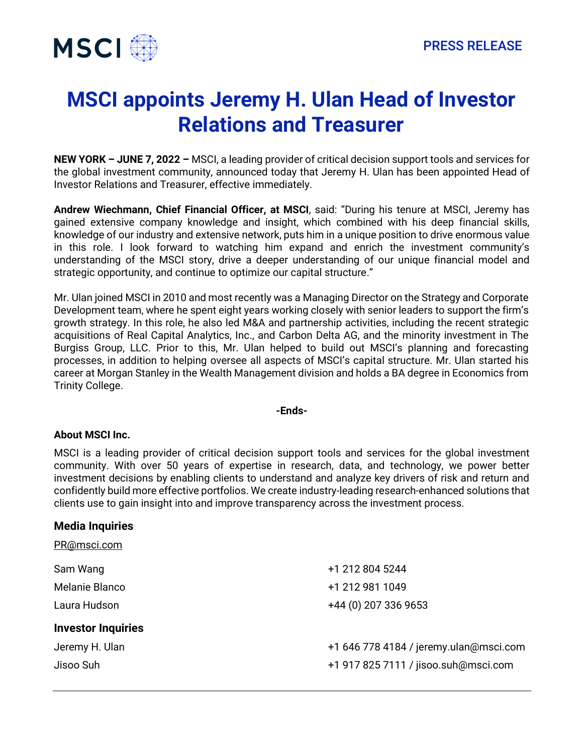

## **MSCI appoints Jeremy H. Ulan Head of Investor Relations and Treasurer**

**NEW YORK – JUNE 7, 2022 –** MSCI, a leading provider of critical decision support tools and services for the global investment community, announced today that Jeremy H. Ulan has been appointed Head of Investor Relations and Treasurer, effective immediately.

**Andrew Wiechmann, Chief Financial Officer, at MSCI**, said: "During his tenure at MSCI, Jeremy has gained extensive company knowledge and insight, which combined with his deep financial skills, knowledge of our industry and extensive network, puts him in a unique position to drive enormous value in this role. I look forward to watching him expand and enrich the investment community's understanding of the MSCI story, drive a deeper understanding of our unique financial model and strategic opportunity, and continue to optimize our capital structure."

Mr. Ulan joined MSCI in 2010 and most recently was a Managing Director on the Strategy and Corporate Development team, where he spent eight years working closely with senior leaders to support the firm's growth strategy. In this role, he also led M&A and partnership activities, including the recent strategic acquisitions of Real Capital Analytics, Inc., and Carbon Delta AG, and the minority investment in The Burgiss Group, LLC. Prior to this, Mr. Ulan helped to build out MSCI's planning and forecasting processes, in addition to helping oversee all aspects of MSCI's capital structure. Mr. Ulan started his career at Morgan Stanley in the Wealth Management division and holds a BA degree in Economics from Trinity College.

## **-Ends-**

## **About MSCI Inc.**

MSCI is a leading provider of critical decision support tools and services for the global investment community. With over 50 years of expertise in research, data, and technology, we power better investment decisions by enabling clients to understand and analyze key drivers of risk and return and confidently build more effective portfolios. We create industry-leading research-enhanced solutions that clients use to gain insight into and improve transparency across the investment process.

## **Media Inquiries**

| PR@msci.com               |                                        |
|---------------------------|----------------------------------------|
| Sam Wang                  | +1 212 804 5244                        |
| Melanie Blanco            | +1 212 981 1049                        |
| Laura Hudson              | +44 (0) 207 336 9653                   |
| <b>Investor Inquiries</b> |                                        |
| Jeremy H. Ulan            | +1 646 778 4184 / jeremy.ulan@msci.com |
| Jisoo Suh                 | +1 917 825 7111 / jisoo.suh@msci.com   |